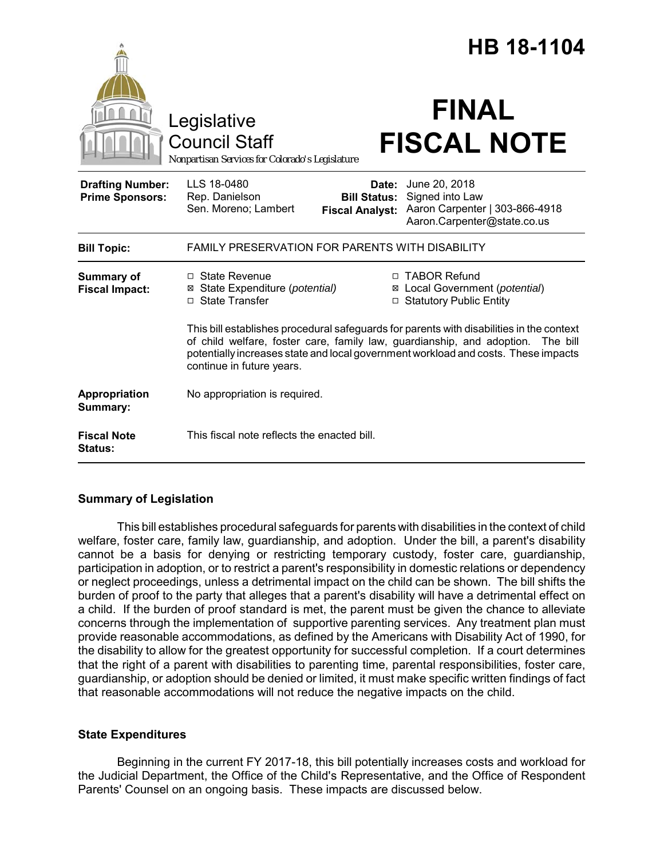|                                                   |                                                                                                                                                                                                                                                                                                   | HB 18-1104 |  |
|---------------------------------------------------|---------------------------------------------------------------------------------------------------------------------------------------------------------------------------------------------------------------------------------------------------------------------------------------------------|------------|--|
|                                                   | <b>FINAL</b><br>Legislative<br><b>FISCAL NOTE</b><br><b>Council Staff</b><br>Nonpartisan Services for Colorado's Legislature                                                                                                                                                                      |            |  |
| <b>Drafting Number:</b><br><b>Prime Sponsors:</b> | LLS 18-0480<br>June 20, 2018<br>Date:<br>Signed into Law<br>Rep. Danielson<br><b>Bill Status:</b><br>Sen. Moreno; Lambert<br>Aaron Carpenter   303-866-4918<br><b>Fiscal Analyst:</b><br>Aaron.Carpenter@state.co.us                                                                              |            |  |
| <b>Bill Topic:</b>                                | <b>FAMILY PRESERVATION FOR PARENTS WITH DISABILITY</b>                                                                                                                                                                                                                                            |            |  |
| Summary of<br><b>Fiscal Impact:</b>               | □ TABOR Refund<br>□ State Revenue<br>⊠ Local Government (potential)<br>⊠ State Expenditure (potential)<br>□ State Transfer<br>□ Statutory Public Entity                                                                                                                                           |            |  |
|                                                   | This bill establishes procedural safeguards for parents with disabilities in the context<br>of child welfare, foster care, family law, guardianship, and adoption.<br>The bill<br>potentially increases state and local government workload and costs. These impacts<br>continue in future years. |            |  |
| Appropriation<br>Summary:                         | No appropriation is required.                                                                                                                                                                                                                                                                     |            |  |
| <b>Fiscal Note</b><br><b>Status:</b>              | This fiscal note reflects the enacted bill.                                                                                                                                                                                                                                                       |            |  |

# **Summary of Legislation**

This bill establishes procedural safeguards for parents with disabilities in the context of child welfare, foster care, family law, guardianship, and adoption. Under the bill, a parent's disability cannot be a basis for denying or restricting temporary custody, foster care, guardianship, participation in adoption, or to restrict a parent's responsibility in domestic relations or dependency or neglect proceedings, unless a detrimental impact on the child can be shown. The bill shifts the burden of proof to the party that alleges that a parent's disability will have a detrimental effect on a child. If the burden of proof standard is met, the parent must be given the chance to alleviate concerns through the implementation of supportive parenting services. Any treatment plan must provide reasonable accommodations, as defined by the Americans with Disability Act of 1990, for the disability to allow for the greatest opportunity for successful completion. If a court determines that the right of a parent with disabilities to parenting time, parental responsibilities, foster care, guardianship, or adoption should be denied or limited, it must make specific written findings of fact that reasonable accommodations will not reduce the negative impacts on the child.

# **State Expenditures**

Beginning in the current FY 2017-18, this bill potentially increases costs and workload for the Judicial Department, the Office of the Child's Representative, and the Office of Respondent Parents' Counsel on an ongoing basis. These impacts are discussed below.